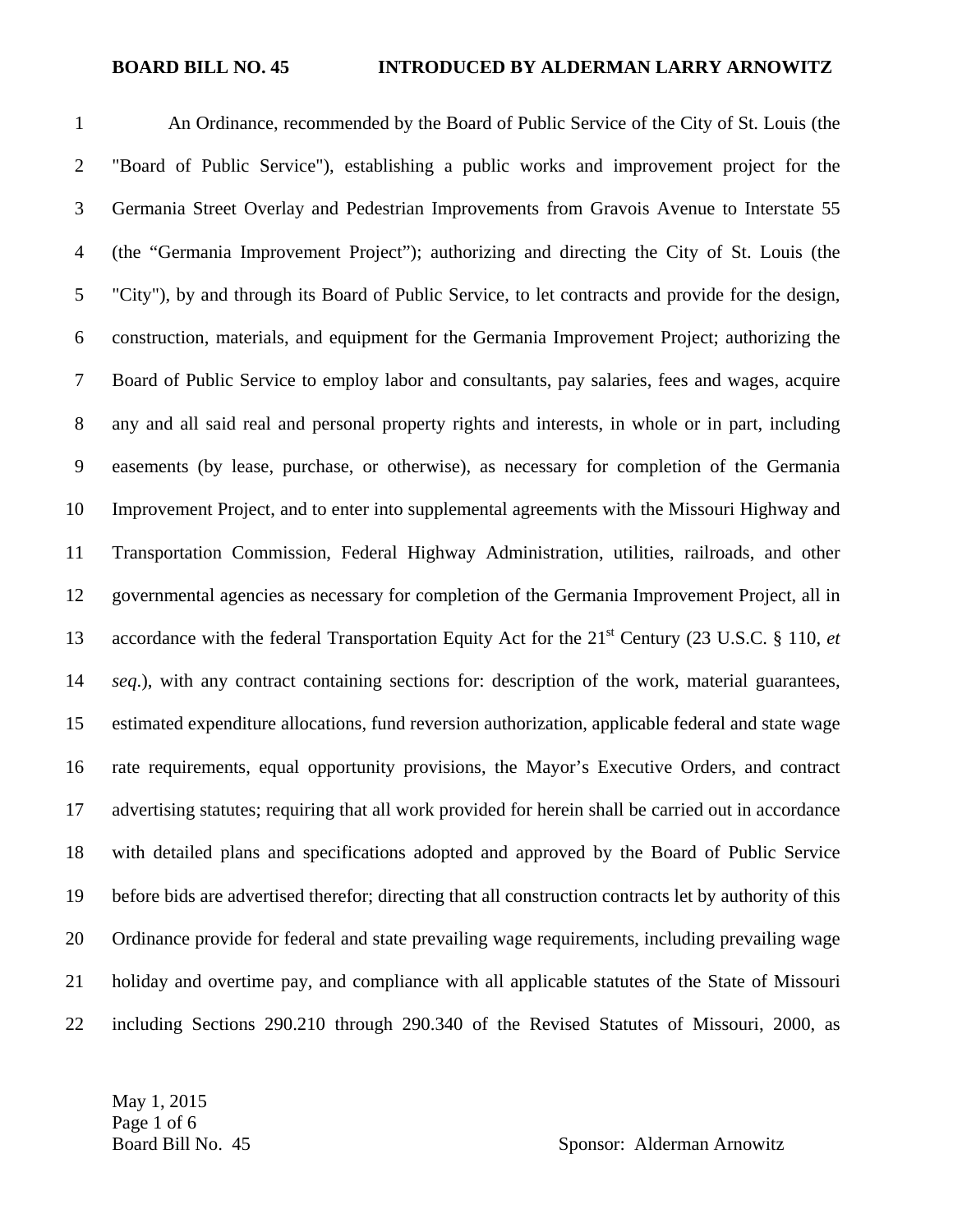## **BOARD BILL NO. 45 INTRODUCED BY ALDERMAN LARRY ARNOWITZ**

1 An Ordinance, recommended by the Board of Public Service of the City of St. Louis (the 2 "Board of Public Service"), establishing a public works and improvement project for the 3 Germania Street Overlay and Pedestrian Improvements from Gravois Avenue to Interstate 55 4 (the "Germania Improvement Project"); authorizing and directing the City of St. Louis (the 5 "City"), by and through its Board of Public Service, to let contracts and provide for the design, 6 construction, materials, and equipment for the Germania Improvement Project; authorizing the 7 Board of Public Service to employ labor and consultants, pay salaries, fees and wages, acquire 8 any and all said real and personal property rights and interests, in whole or in part, including 9 easements (by lease, purchase, or otherwise), as necessary for completion of the Germania 10 Improvement Project, and to enter into supplemental agreements with the Missouri Highway and 11 Transportation Commission, Federal Highway Administration, utilities, railroads, and other 12 governmental agencies as necessary for completion of the Germania Improvement Project, all in 13 accordance with the federal Transportation Equity Act for the 21<sup>st</sup> Century (23 U.S.C. § 110, *et* 14 *seq*.), with any contract containing sections for: description of the work, material guarantees, 15 estimated expenditure allocations, fund reversion authorization, applicable federal and state wage 16 rate requirements, equal opportunity provisions, the Mayor's Executive Orders, and contract 17 advertising statutes; requiring that all work provided for herein shall be carried out in accordance 18 with detailed plans and specifications adopted and approved by the Board of Public Service 19 before bids are advertised therefor; directing that all construction contracts let by authority of this 20 Ordinance provide for federal and state prevailing wage requirements, including prevailing wage 21 holiday and overtime pay, and compliance with all applicable statutes of the State of Missouri 22 including Sections 290.210 through 290.340 of the Revised Statutes of Missouri, 2000, as

May 1, 2015 Page 1 of 6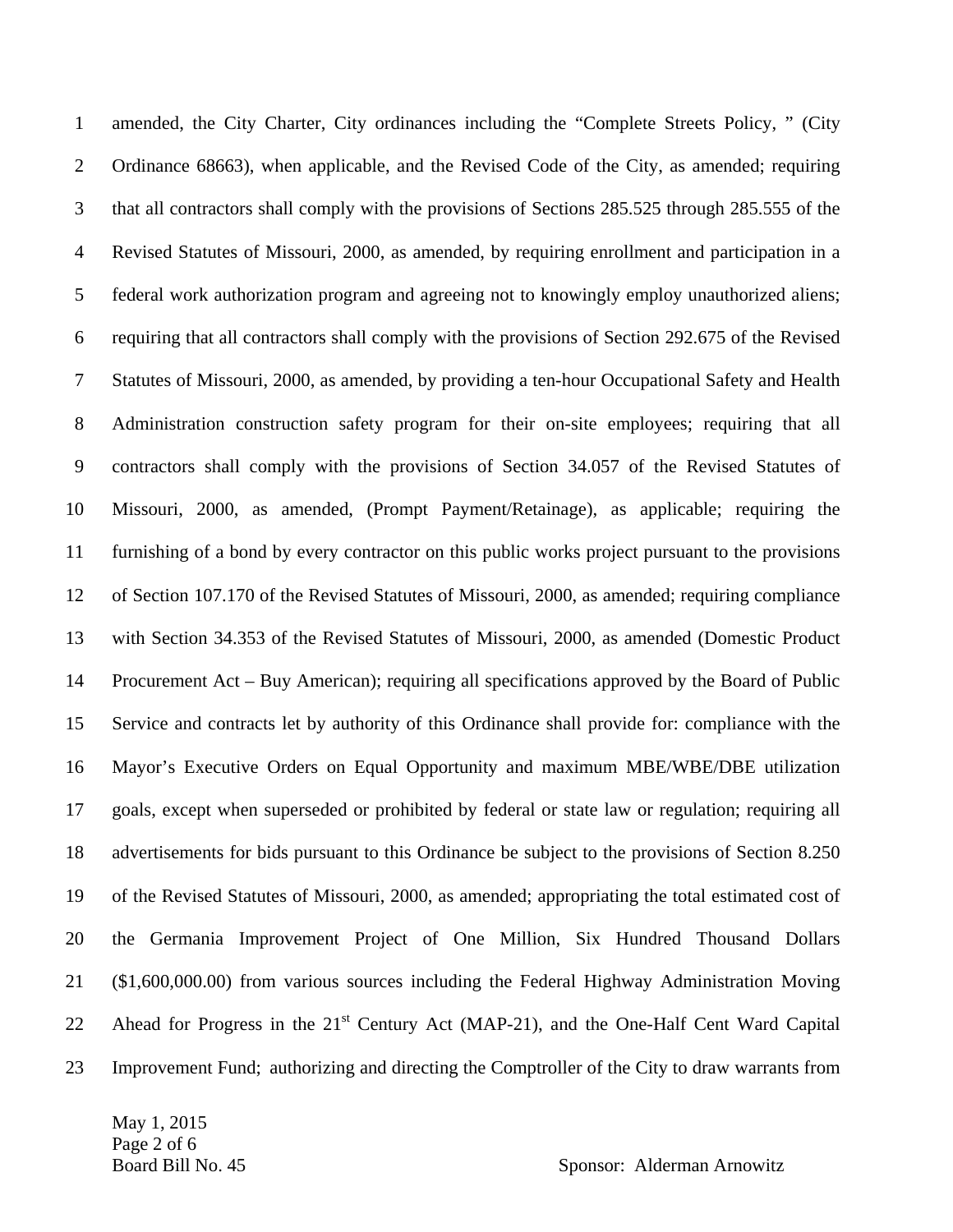1 amended, the City Charter, City ordinances including the "Complete Streets Policy, " (City 2 Ordinance 68663), when applicable, and the Revised Code of the City, as amended; requiring 3 that all contractors shall comply with the provisions of Sections 285.525 through 285.555 of the 4 Revised Statutes of Missouri, 2000, as amended, by requiring enrollment and participation in a 5 federal work authorization program and agreeing not to knowingly employ unauthorized aliens; 6 requiring that all contractors shall comply with the provisions of Section 292.675 of the Revised 7 Statutes of Missouri, 2000, as amended, by providing a ten-hour Occupational Safety and Health 8 Administration construction safety program for their on-site employees; requiring that all 9 contractors shall comply with the provisions of Section 34.057 of the Revised Statutes of 10 Missouri, 2000, as amended, (Prompt Payment/Retainage), as applicable; requiring the 11 furnishing of a bond by every contractor on this public works project pursuant to the provisions 12 of Section 107.170 of the Revised Statutes of Missouri, 2000, as amended; requiring compliance 13 with Section 34.353 of the Revised Statutes of Missouri, 2000, as amended (Domestic Product 14 Procurement Act – Buy American); requiring all specifications approved by the Board of Public 15 Service and contracts let by authority of this Ordinance shall provide for: compliance with the 16 Mayor's Executive Orders on Equal Opportunity and maximum MBE/WBE/DBE utilization 17 goals, except when superseded or prohibited by federal or state law or regulation; requiring all 18 advertisements for bids pursuant to this Ordinance be subject to the provisions of Section 8.250 19 of the Revised Statutes of Missouri, 2000, as amended; appropriating the total estimated cost of 20 the Germania Improvement Project of One Million, Six Hundred Thousand Dollars 21 (\$1,600,000.00) from various sources including the Federal Highway Administration Moving 22 Ahead for Progress in the  $21<sup>st</sup>$  Century Act (MAP-21), and the One-Half Cent Ward Capital 23 Improvement Fund; authorizing and directing the Comptroller of the City to draw warrants from

May 1, 2015 Page 2 of 6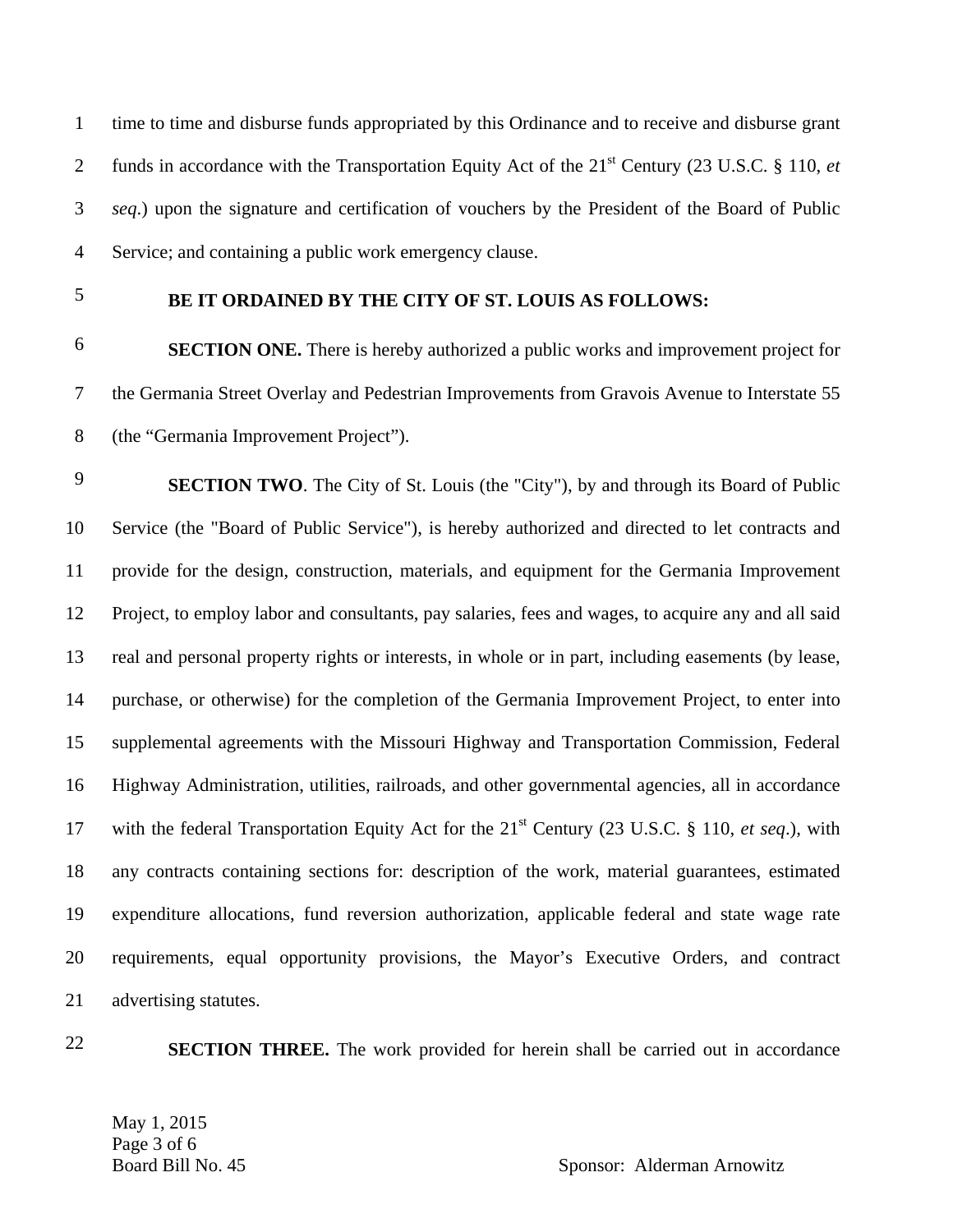1 time to time and disburse funds appropriated by this Ordinance and to receive and disburse grant funds in accordance with the Transportation Equity Act of the 21st 2 Century (23 U.S.C. § 110, *et*  3 *seq*.) upon the signature and certification of vouchers by the President of the Board of Public 4 Service; and containing a public work emergency clause.

## **BE IT ORDAINED BY THE CITY OF ST. LOUIS AS FOLLOWS:** 5

**SECTION ONE.** There is hereby authorized a public works and improvement project for 7 the Germania Street Overlay and Pedestrian Improvements from Gravois Avenue to Interstate 55 8 (the "Germania Improvement Project").

**SECTION TWO**. The City of St. Louis (the "City"), by and through its Board of Public 10 Service (the "Board of Public Service"), is hereby authorized and directed to let contracts and 11 provide for the design, construction, materials, and equipment for the Germania Improvement 12 Project, to employ labor and consultants, pay salaries, fees and wages, to acquire any and all said 13 real and personal property rights or interests, in whole or in part, including easements (by lease, 14 purchase, or otherwise) for the completion of the Germania Improvement Project, to enter into 15 supplemental agreements with the Missouri Highway and Transportation Commission, Federal 16 Highway Administration, utilities, railroads, and other governmental agencies, all in accordance 17 with the federal Transportation Equity Act for the 21<sup>st</sup> Century (23 U.S.C. § 110, *et seq.*), with 18 any contracts containing sections for: description of the work, material guarantees, estimated 19 expenditure allocations, fund reversion authorization, applicable federal and state wage rate 20 requirements, equal opportunity provisions, the Mayor's Executive Orders, and contract 21 advertising statutes.

**SECTION THREE.** The work provided for herein shall be carried out in accordance

May 1, 2015 Page 3 of 6<br>Board Bill No. 45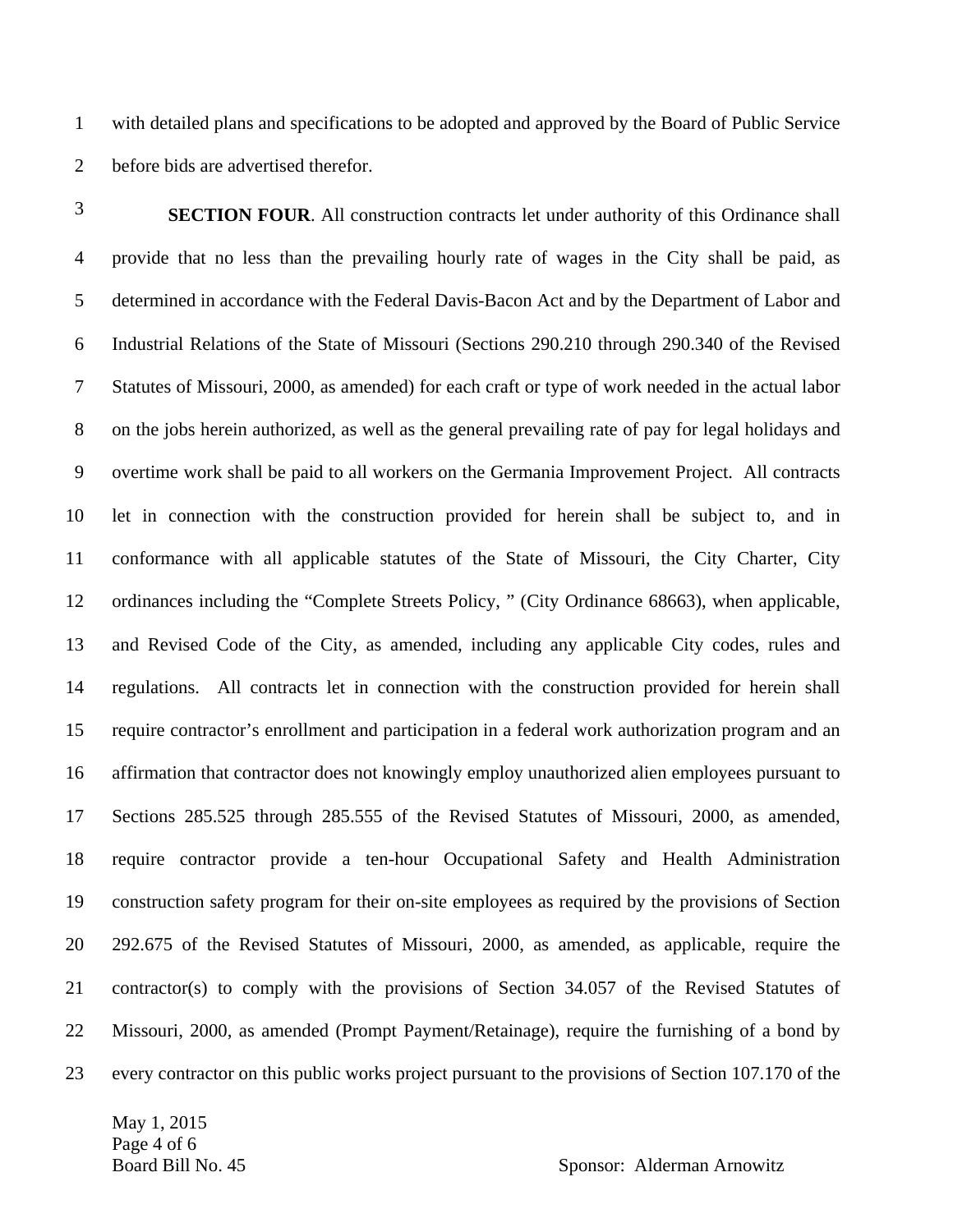1 with detailed plans and specifications to be adopted and approved by the Board of Public Service 2 before bids are advertised therefor.

**SECTION FOUR.** All construction contracts let under authority of this Ordinance shall 4 provide that no less than the prevailing hourly rate of wages in the City shall be paid, as 5 determined in accordance with the Federal Davis-Bacon Act and by the Department of Labor and 6 Industrial Relations of the State of Missouri (Sections 290.210 through 290.340 of the Revised 7 Statutes of Missouri, 2000, as amended) for each craft or type of work needed in the actual labor 8 on the jobs herein authorized, as well as the general prevailing rate of pay for legal holidays and 9 overtime work shall be paid to all workers on the Germania Improvement Project. All contracts 10 let in connection with the construction provided for herein shall be subject to, and in 11 conformance with all applicable statutes of the State of Missouri, the City Charter, City 12 ordinances including the "Complete Streets Policy, " (City Ordinance 68663), when applicable, 13 and Revised Code of the City, as amended, including any applicable City codes, rules and 14 regulations. All contracts let in connection with the construction provided for herein shall 15 require contractor's enrollment and participation in a federal work authorization program and an 16 affirmation that contractor does not knowingly employ unauthorized alien employees pursuant to 17 Sections 285.525 through 285.555 of the Revised Statutes of Missouri, 2000, as amended, 18 require contractor provide a ten-hour Occupational Safety and Health Administration 19 construction safety program for their on-site employees as required by the provisions of Section 20 292.675 of the Revised Statutes of Missouri, 2000, as amended, as applicable, require the 21 contractor(s) to comply with the provisions of Section 34.057 of the Revised Statutes of 22 Missouri, 2000, as amended (Prompt Payment/Retainage), require the furnishing of a bond by 23 every contractor on this public works project pursuant to the provisions of Section 107.170 of the

May 1, 2015 Page 4 of 6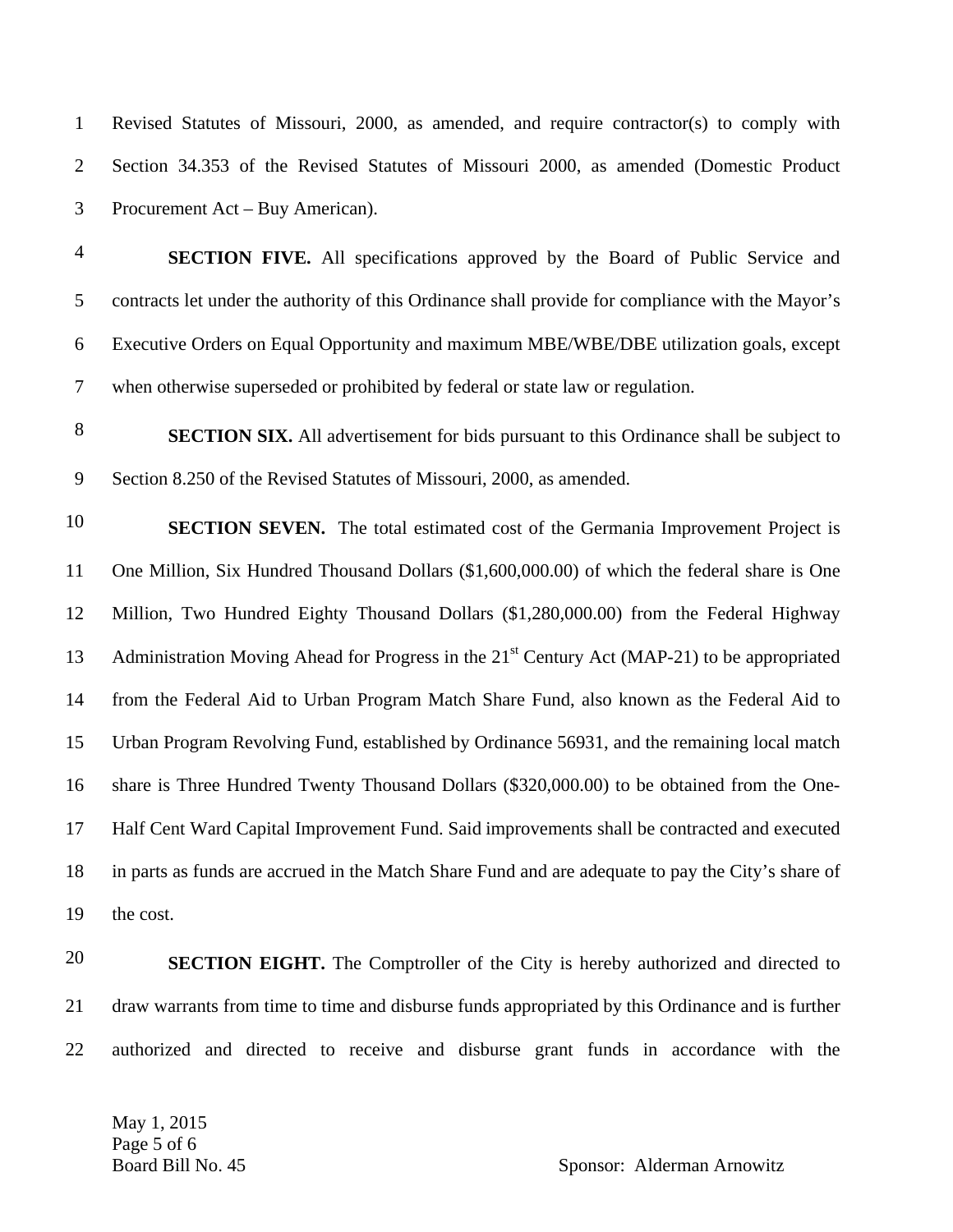1 Revised Statutes of Missouri, 2000, as amended, and require contractor(s) to comply with 2 Section 34.353 of the Revised Statutes of Missouri 2000, as amended (Domestic Product 3 Procurement Act – Buy American). **SECTION FIVE.** All specifications approved by the Board of Public Service and 5 contracts let under the authority of this Ordinance shall provide for compliance with the Mayor's 6 Executive Orders on Equal Opportunity and maximum MBE/WBE/DBE utilization goals, except 7 when otherwise superseded or prohibited by federal or state law or regulation. **SECTION SIX.** All advertisement for bids pursuant to this Ordinance shall be subject to 9 Section 8.250 of the Revised Statutes of Missouri, 2000, as amended. **SECTION SEVEN.** The total estimated cost of the Germania Improvement Project is 11 One Million, Six Hundred Thousand Dollars (\$1,600,000.00) of which the federal share is One 12 Million, Two Hundred Eighty Thousand Dollars (\$1,280,000.00) from the Federal Highway 13 Administration Moving Ahead for Progress in the 21<sup>st</sup> Century Act (MAP-21) to be appropriated 14 from the Federal Aid to Urban Program Match Share Fund, also known as the Federal Aid to 15 Urban Program Revolving Fund, established by Ordinance 56931, and the remaining local match 16 share is Three Hundred Twenty Thousand Dollars (\$320,000.00) to be obtained from the One-17 Half Cent Ward Capital Improvement Fund. Said improvements shall be contracted and executed 18 in parts as funds are accrued in the Match Share Fund and are adequate to pay the City's share of 19 the cost. **SECTION EIGHT.** The Comptroller of the City is hereby authorized and directed to 21 draw warrants from time to time and disburse funds appropriated by this Ordinance and is further 22 authorized and directed to receive and disburse grant funds in accordance with the

May 1, 2015 Page 5 of 6